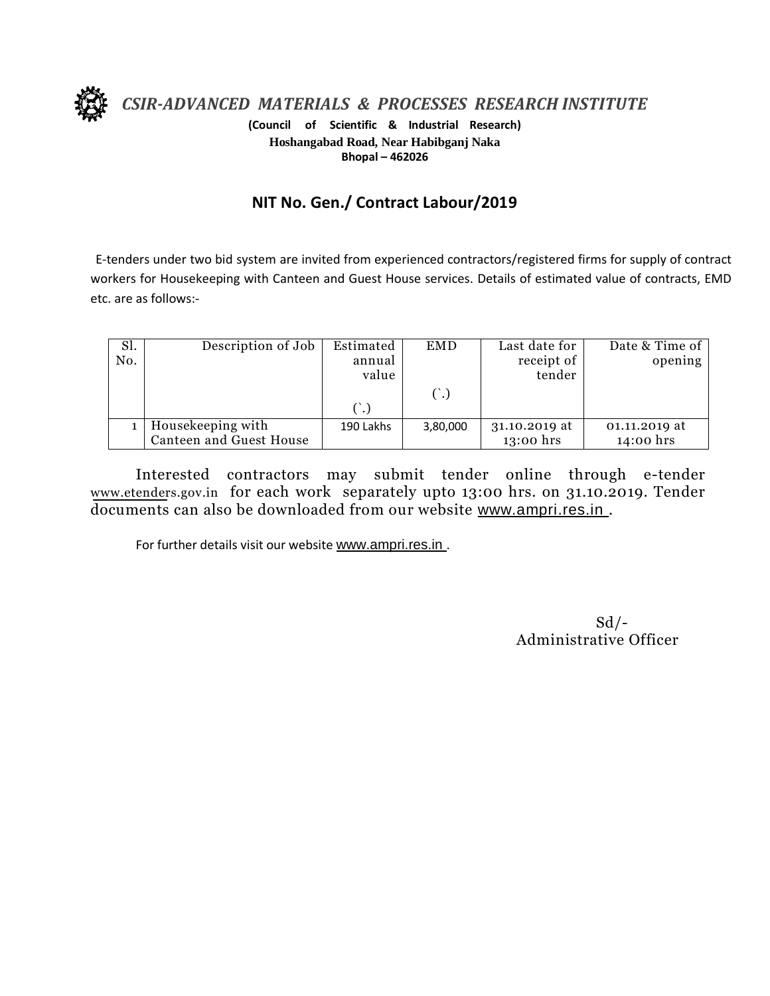

*CSIR-ADVANCED MATERIALS & PROCESSES RESEARCH INSTITUTE*

**(Council of Scientific & Industrial Research) Hoshangabad Road, Near Habibganj Naka Bhopal – 462026**

## **NIT No. Gen./ Contract Labour/2019**

E-tenders under two bid system are invited from experienced contractors/registered firms for supply of contract workers for Housekeeping with Canteen and Guest House services. Details of estimated value of contracts, EMD etc. are as follows:-

| Sl.<br>No. | Description of Job                           | Estimated<br>annual<br>value | <b>EMD</b> | Last date for<br>receipt of<br>tender | Date & Time of<br>opening  |
|------------|----------------------------------------------|------------------------------|------------|---------------------------------------|----------------------------|
|            |                                              |                              |            |                                       |                            |
|            | Housekeeping with<br>Canteen and Guest House | 190 Lakhs                    | 3,80,000   | 31.10.2019 at<br>13:00 hrs            | 01.11.2019 at<br>14:00 hrs |

Interested contractors may submit tender online through e-tender www.etenders.gov.in for each work separately upto 13:00 hrs. on 31.10.2019. Tender documents can also be downloaded from our website [www.ampri.res.in](http://www.rrlbpl.org/) .

For further details visit our website [www.ampri.res.in](http://www.rrlbpl.org/) .

 $Sd$  /-Administrative Officer